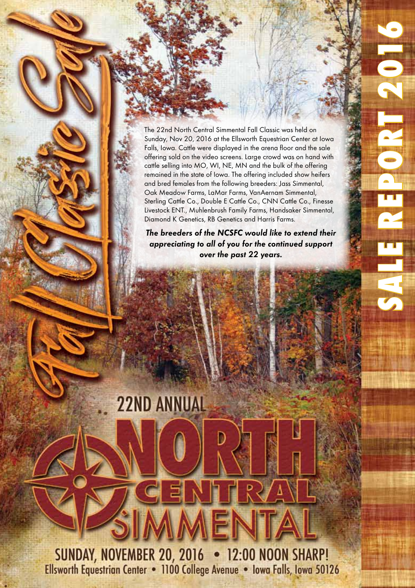The 22nd North Central Simmental Fall Classic was held on Sunday, Nov 20, 2016 at the Ellsworth Equestrian Center at Iowa Falls, Iowa. Cattle were displayed in the arena floor and the sale offering sold on the video screens. Large crowd was on hand with cattle selling into MO, WI, NE, MN and the bulk of the offering remained in the state of Iowa. The offering included show heifers and bred females from the following breeders: Jass Simmental, Oak Meadow Farms, LaMar Farms, VanAernam Simmental, Sterling Cattle Co., Double E Cattle Co., CNN Cattle Co., Finesse Livestock ENT., Muhlenbrush Family Farms, Handsaker Simmental, Diamond K Genetics, RB Genetics and Harris Farms.

SALE REPORT 2016

**ENERTIS** 

**The breeders of the NCSFC would like to extend their appreciating to all of you for the continued support over the past 22 years.**

**22ND ANNUAL** 

**SUNDAY, NOVEMBER 20, 2016 • 12:00 NOON SHARP!** Ellsworth Equestrian Center . 1100 College Avenue . Iowa Falls, Iowa 50126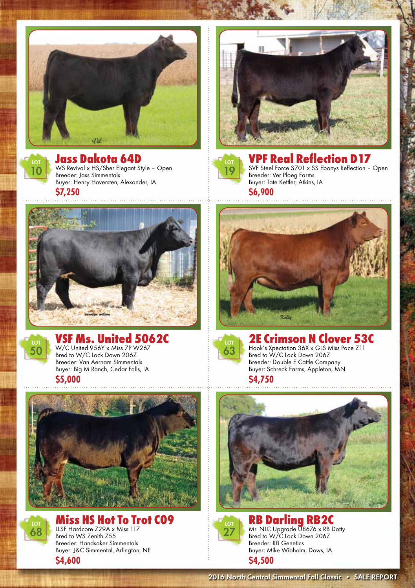



Jass Dakota 64D WS Revival x HS/Sher Elegant Style – Open

Breeder: Jass Simmentals

Buyer: Henry Hoversten, Alexander, IA **\$7,250**





VPF Real Reflection D17 SVF Steel Force S701 x SS Ebonys Reflection – Open Breeder: Ver Ploeg Farms Buyer: Tate Kettler, Atkins, IA **\$6,900**





## **VSF Ms. United 5062C**<br>W/C United 956Y x Miss 7P W267

Bred to W/C Lock Down 206Z Breeder: Van Aernam Simmentals Buyer: Big M Ranch, Cedar Falls, IA

**\$5,000**





Miss HS Hot To Trot C09 LLSF Hardcore Z29A x Miss 117 Bred to WS Zenith Z55 Breeder: Handsaker Simmentals Buyer: J&C Simmental, Arlington, NE **\$4,600**





## 2E Crimson N Clover 53C Bred to W/C Lock Down 206Z

Breeder: Double E Cattle Company Buyer: Schreck Farms, Appleton, MN

**\$4,750**





**RB Darling RB2C**<br>Mr. NLC Upgrade U8676 x RB Dotty Bred to W/C Lock Down 206Z Breeder: RB Genetics Buyer: Mike Wibholm, Dows, IA **\$4,500**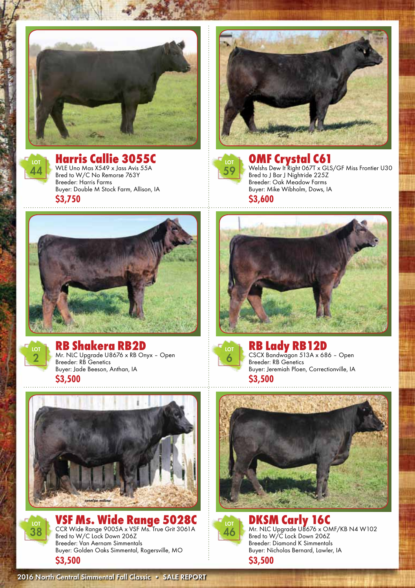



**Harris Callie 3055C**<br>WLE Uno Mas X549 x Jass Avis 55A Bred to W/C No Remorse 763Y Breeder: Harris Farms Buyer: Double M Stock Farm, Allison, IA **\$3,750**





**OMF Crystal C61**<br>Welshs Dew It Right 067T x GLS/GF Miss Frontier U30 Bred to J Bar J Nightride 225Z Breeder: Oak Meadow Farms Buyer: Mike Wibholm, Dows, IA **\$3,600**





RB Shakera RB2D Mr. NLC Upgrade U8676 x RB Onyx – Open

Breeder: RB Genetics Buyer: Jade Beeson, Anthan, IA **\$3,500**









RB Lady RB12D<br>CSCX Bandwagon 513A x 686 - Open Breeder: RB Genetics Buyer: Jeremiah Ploen, Correctionville, IA **\$3,500**





DKSM Carly 16C<br>Mr. NLC Upgrade U8676 x OMF/KB N4 W102 Bred to W/C Lock Down 206Z Breeder: Diamond K Simmentals Buyer: Nicholas Bernard, Lawler, IA **\$3,500**